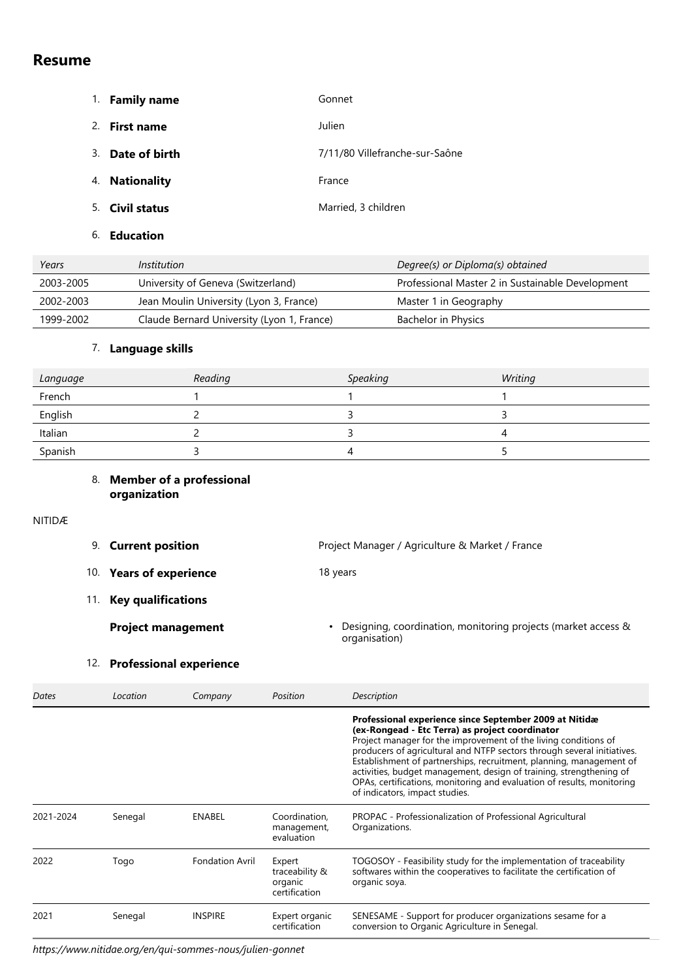# **Resume**

|    | 1. Family name   | Gonnet                         |
|----|------------------|--------------------------------|
|    | 2. First name    | Julien                         |
|    | 3. Date of birth | 7/11/80 Villefranche-sur-Saône |
|    | 4. Nationality   | France                         |
| 5. | Civil status     | Married, 3 children            |

6. **Education**

| Years     | <i>Institution</i>                         | Degree(s) or Diploma(s) obtained                 |
|-----------|--------------------------------------------|--------------------------------------------------|
| 2003-2005 | University of Geneva (Switzerland)         | Professional Master 2 in Sustainable Development |
| 2002-2003 | Jean Moulin University (Lyon 3, France)    | Master 1 in Geography                            |
| 1999-2002 | Claude Bernard University (Lyon 1, France) | Bachelor in Physics                              |

# 7. **Language skills**

| Language | Reading | <b>Speaking</b> | Writing |
|----------|---------|-----------------|---------|
| French   |         |                 |         |
| English  |         |                 |         |
| Italian  |         |                 |         |
| Spanish  |         | 4               |         |

### 8. **Member of a professional organization**

#### NITIDÆ

|     | 9. Current position                                                                                                                                                                                                                                                                                                                                                          | Project Manager / Agriculture & Market / France                                |
|-----|------------------------------------------------------------------------------------------------------------------------------------------------------------------------------------------------------------------------------------------------------------------------------------------------------------------------------------------------------------------------------|--------------------------------------------------------------------------------|
|     | 10. Years of experience                                                                                                                                                                                                                                                                                                                                                      | 18 years                                                                       |
| 11. | <b>Key qualifications</b>                                                                                                                                                                                                                                                                                                                                                    |                                                                                |
|     | <b>Project management</b>                                                                                                                                                                                                                                                                                                                                                    | Designing, coordination, monitoring projects (market access &<br>organisation) |
|     | 12. Professional experience                                                                                                                                                                                                                                                                                                                                                  |                                                                                |
|     | $\mathcal{L}$ and $\mathcal{L}$ and $\mathcal{L}$ are $\mathcal{L}$ and $\mathcal{L}$ are $\mathcal{L}$ and $\mathcal{L}$ and $\mathcal{L}$ are $\mathcal{L}$ and $\mathcal{L}$ and $\mathcal{L}$ are $\mathcal{L}$ and $\mathcal{L}$ are $\mathcal{L}$ and $\mathcal{L}$ and $\mathcal{L}$ are $\mathcal{L}$ and<br>$\mathbf{D}$ - $\mathbf{L}$ $\mathbf{L}$ - $\mathbf{L}$ | $\sum_{i=1}^{n}$                                                               |

| Dates     | Location | Company                | Position                                             | Description                                                                                                                                                                                                                                                                                                                                                                                                                                                                                                       |
|-----------|----------|------------------------|------------------------------------------------------|-------------------------------------------------------------------------------------------------------------------------------------------------------------------------------------------------------------------------------------------------------------------------------------------------------------------------------------------------------------------------------------------------------------------------------------------------------------------------------------------------------------------|
|           |          |                        |                                                      | Professional experience since September 2009 at Nitidæ<br>(ex-Rongead - Etc Terra) as project coordinator<br>Project manager for the improvement of the living conditions of<br>producers of agricultural and NTFP sectors through several initiatives.<br>Establishment of partnerships, recruitment, planning, management of<br>activities, budget management, design of training, strengthening of<br>OPAs, certifications, monitoring and evaluation of results, monitoring<br>of indicators, impact studies. |
| 2021-2024 | Senegal  | ENABEL                 | Coordination,<br>management,<br>evaluation           | PROPAC - Professionalization of Professional Agricultural<br>Organizations.                                                                                                                                                                                                                                                                                                                                                                                                                                       |
| 2022      | Togo     | <b>Fondation Avril</b> | Expert<br>traceability &<br>organic<br>certification | TOGOSOY - Feasibility study for the implementation of traceability<br>softwares within the cooperatives to facilitate the certification of<br>organic soya.                                                                                                                                                                                                                                                                                                                                                       |
| 2021      | Senegal  | <b>INSPIRE</b>         | Expert organic<br>certification                      | SENESAME - Support for producer organizations sesame for a<br>conversion to Organic Agriculture in Senegal.                                                                                                                                                                                                                                                                                                                                                                                                       |

*https://www.nitidae.org/en/qui-sommes-nous/julien-gonnet*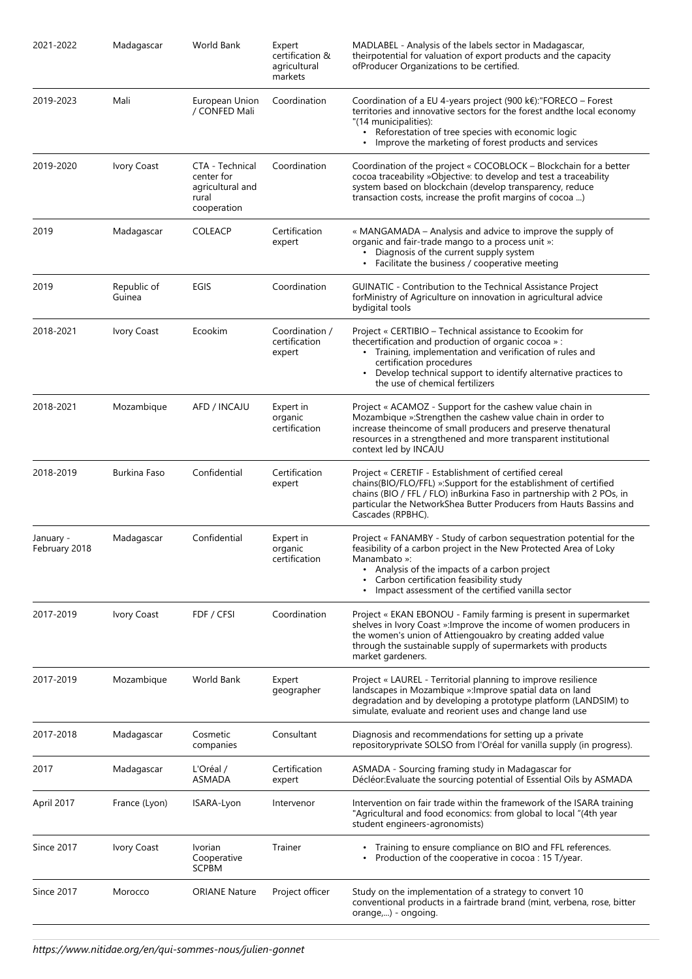| 2021-2022                  | Madagascar            | World Bank                                                                | Expert<br>certification &<br>agricultural<br>markets | MADLABEL - Analysis of the labels sector in Madagascar,<br>theirpotential for valuation of export products and the capacity<br>ofProducer Organizations to be certified.                                                                                                                                   |
|----------------------------|-----------------------|---------------------------------------------------------------------------|------------------------------------------------------|------------------------------------------------------------------------------------------------------------------------------------------------------------------------------------------------------------------------------------------------------------------------------------------------------------|
| 2019-2023                  | Mali                  | European Union<br>/ CONFED Mali                                           | Coordination                                         | Coordination of a EU 4-years project (900 k€): "FORECO – Forest<br>territories and innovative sectors for the forest and the local economy<br>"(14 municipalities):<br>• Reforestation of tree species with economic logic<br>• Improve the marketing of forest products and services                      |
| 2019-2020                  | Ivory Coast           | CTA - Technical<br>center for<br>agricultural and<br>rural<br>cooperation | Coordination                                         | Coordination of the project « COCOBLOCK – Blockchain for a better<br>cocoa traceability »Objective: to develop and test a traceability<br>system based on blockchain (develop transparency, reduce<br>transaction costs, increase the profit margins of cocoa )                                            |
| 2019                       | Madagascar            | <b>COLEACP</b>                                                            | Certification<br>expert                              | « MANGAMADA – Analysis and advice to improve the supply of<br>organic and fair-trade mango to a process unit »:<br>Diagnosis of the current supply system<br>• Facilitate the business / cooperative meeting                                                                                               |
| 2019                       | Republic of<br>Guinea | EGIS                                                                      | Coordination                                         | <b>GUINATIC</b> - Contribution to the Technical Assistance Project<br>forMinistry of Agriculture on innovation in agricultural advice<br>bydigital tools                                                                                                                                                   |
| 2018-2021                  | Ivory Coast           | Ecookim                                                                   | Coordination /<br>certification<br>expert            | Project « CERTIBIO - Technical assistance to Ecookim for<br>thecertification and production of organic cocoa »:<br>Training, implementation and verification of rules and<br>certification procedures<br>Develop technical support to identify alternative practices to<br>the use of chemical fertilizers |
| 2018-2021                  | Mozambique            | AFD / INCAJU                                                              | Expert in<br>organic<br>certification                | Project « ACAMOZ - Support for the cashew value chain in<br>Mozambique »: Strengthen the cashew value chain in order to<br>increase theincome of small producers and preserve thenatural<br>resources in a strengthened and more transparent institutional<br>context led by INCAJU                        |
| 2018-2019                  | Burkina Faso          | Confidential                                                              | Certification<br>expert                              | Project « CERETIF - Establishment of certified cereal<br>chains(BIO/FLO/FFL) »:Support for the establishment of certified<br>chains (BIO / FFL / FLO) inBurkina Faso in partnership with 2 POs, in<br>particular the NetworkShea Butter Producers from Hauts Bassins and<br>Cascades (RPBHC).              |
| January -<br>February 2018 | Madagascar            | Confidential                                                              | Expert in<br>organic<br>certification                | Project « FANAMBY - Study of carbon sequestration potential for the<br>feasibility of a carbon project in the New Protected Area of Loky<br>Manambato »:<br>Analysis of the impacts of a carbon project<br>Carbon certification feasibility study<br>Impact assessment of the certified vanilla sector     |
| 2017-2019                  | Ivory Coast           | FDF / CFSI                                                                | Coordination                                         | Project « EKAN EBONOU - Family farming is present in supermarket<br>shelves in Ivory Coast »: Improve the income of women producers in<br>the women's union of Attiengouakro by creating added value<br>through the sustainable supply of supermarkets with products<br>market gardeners.                  |
| 2017-2019                  | Mozambique            | World Bank                                                                | Expert<br>geographer                                 | Project « LAUREL - Territorial planning to improve resilience<br>landscapes in Mozambique »: Improve spatial data on land<br>degradation and by developing a prototype platform (LANDSIM) to<br>simulate, evaluate and reorient uses and change land use                                                   |
| 2017-2018                  | Madagascar            | Cosmetic<br>companies                                                     | Consultant                                           | Diagnosis and recommendations for setting up a private<br>repositoryprivate SOLSO from l'Oréal for vanilla supply (in progress).                                                                                                                                                                           |
| 2017                       | Madagascar            | L'Oréal /<br>ASMADA                                                       | Certification<br>expert                              | ASMADA - Sourcing framing study in Madagascar for<br>Décléor: Evaluate the sourcing potential of Essential Oils by ASMADA                                                                                                                                                                                  |
| April 2017                 | France (Lyon)         | ISARA-Lyon                                                                | Intervenor                                           | Intervention on fair trade within the framework of the ISARA training<br>"Agricultural and food economics: from global to local "(4th year<br>student engineers-agronomists)                                                                                                                               |
| <b>Since 2017</b>          | Ivory Coast           | <b>Ivorian</b><br>Cooperative<br><b>SCPBM</b>                             | <b>Trainer</b>                                       | Training to ensure compliance on BIO and FFL references.<br>Production of the cooperative in cocoa : 15 T/year.                                                                                                                                                                                            |
| <b>Since 2017</b>          | Morocco               | <b>ORIANE Nature</b>                                                      | Project officer                                      | Study on the implementation of a strategy to convert 10<br>conventional products in a fairtrade brand (mint, verbena, rose, bitter<br>orange,) - ongoing.                                                                                                                                                  |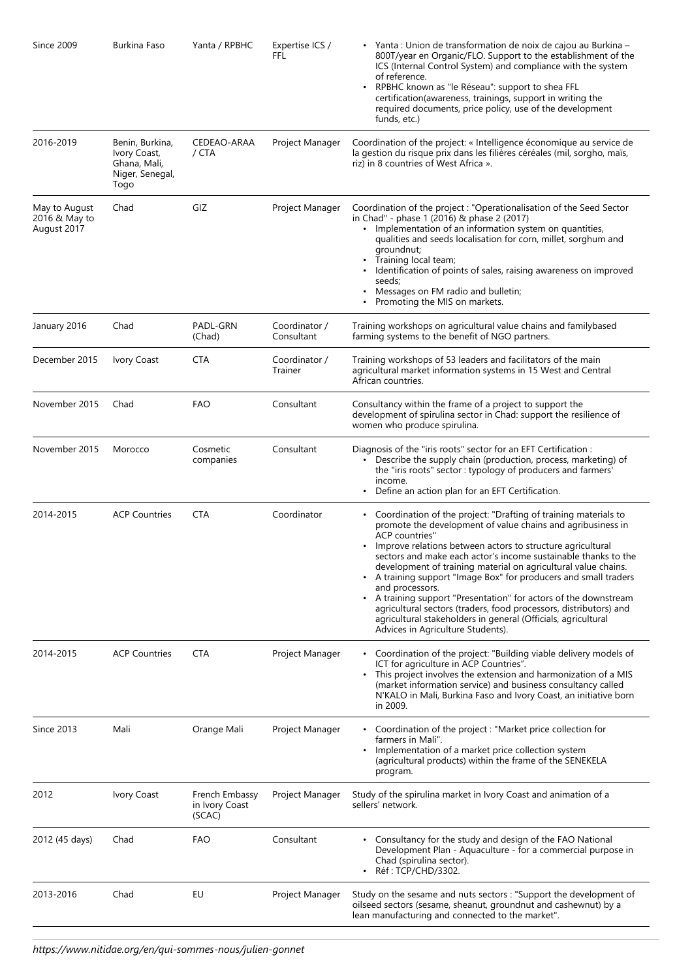| <b>Since 2009</b>                             | Burkina Faso                                                               | Yanta / RPBHC                              | Expertise ICS /<br>FFL      | • Yanta : Union de transformation de noix de cajou au Burkina –<br>800T/year en Organic/FLO. Support to the establishment of the<br>ICS (Internal Control System) and compliance with the system<br>of reference.<br>RPBHC known as "le Réseau": support to shea FFL<br>$\bullet$<br>certification(awareness, trainings, support in writing the<br>required documents, price policy, use of the development<br>funds, etc.)                                                                                                                                                                                                                                                                |
|-----------------------------------------------|----------------------------------------------------------------------------|--------------------------------------------|-----------------------------|--------------------------------------------------------------------------------------------------------------------------------------------------------------------------------------------------------------------------------------------------------------------------------------------------------------------------------------------------------------------------------------------------------------------------------------------------------------------------------------------------------------------------------------------------------------------------------------------------------------------------------------------------------------------------------------------|
| 2016-2019                                     | Benin, Burkina,<br>Ivory Coast,<br>Ghana, Mali,<br>Niger, Senegal,<br>Togo | CEDEAO-ARAA<br>/ CTA                       | Project Manager             | Coordination of the project: « Intelligence économique au service de<br>la gestion du risque prix dans les filières céréales (mil, sorgho, maïs,<br>riz) in 8 countries of West Africa ».                                                                                                                                                                                                                                                                                                                                                                                                                                                                                                  |
| May to August<br>2016 & May to<br>August 2017 | Chad                                                                       | GIZ                                        | Project Manager             | Coordination of the project: "Operationalisation of the Seed Sector<br>in Chad" - phase 1 (2016) & phase 2 (2017)<br>Implementation of an information system on quantities,<br>$\bullet$<br>qualities and seeds localisation for corn, millet, sorghum and<br>groundnut;<br>Training local team;<br>Identification of points of sales, raising awareness on improved<br>seeds;<br>Messages on FM radio and bulletin;<br>Promoting the MIS on markets.                                                                                                                                                                                                                                      |
| January 2016                                  | Chad                                                                       | PADL-GRN<br>(Chad)                         | Coordinator /<br>Consultant | Training workshops on agricultural value chains and familybased<br>farming systems to the benefit of NGO partners.                                                                                                                                                                                                                                                                                                                                                                                                                                                                                                                                                                         |
| December 2015                                 | <b>Ivory Coast</b>                                                         | <b>CTA</b>                                 | Coordinator /<br>Trainer    | Training workshops of 53 leaders and facilitators of the main<br>agricultural market information systems in 15 West and Central<br>African countries.                                                                                                                                                                                                                                                                                                                                                                                                                                                                                                                                      |
| November 2015                                 | Chad                                                                       | FAO                                        | Consultant                  | Consultancy within the frame of a project to support the<br>development of spirulina sector in Chad: support the resilience of<br>women who produce spirulina.                                                                                                                                                                                                                                                                                                                                                                                                                                                                                                                             |
| November 2015                                 | Morocco                                                                    | Cosmetic<br>companies                      | Consultant                  | Diagnosis of the "iris roots" sector for an EFT Certification :<br>• Describe the supply chain (production, process, marketing) of<br>the "iris roots" sector : typology of producers and farmers'<br>income.<br>Define an action plan for an EFT Certification.                                                                                                                                                                                                                                                                                                                                                                                                                           |
| 2014-2015                                     | <b>ACP Countries</b>                                                       | <b>CTA</b>                                 | Coordinator                 | • Coordination of the project: "Drafting of training materials to<br>promote the development of value chains and agribusiness in<br>ACP countries"<br>Improve relations between actors to structure agricultural<br>sectors and make each actor's income sustainable thanks to the<br>development of training material on agricultural value chains.<br>• A training support "Image Box" for producers and small traders<br>and processors.<br>• A training support "Presentation" for actors of the downstream<br>agricultural sectors (traders, food processors, distributors) and<br>agricultural stakeholders in general (Officials, agricultural<br>Advices in Agriculture Students). |
| 2014-2015                                     | <b>ACP Countries</b>                                                       | <b>CTA</b>                                 | Project Manager             | • Coordination of the project: "Building viable delivery models of<br>ICT for agriculture in ACP Countries".<br>• This project involves the extension and harmonization of a MIS<br>(market information service) and business consultancy called<br>N'KALO in Mali, Burkina Faso and Ivory Coast, an initiative born<br>in 2009.                                                                                                                                                                                                                                                                                                                                                           |
| <b>Since 2013</b>                             | Mali                                                                       | Orange Mali                                | Project Manager             | • Coordination of the project: "Market price collection for<br>farmers in Mali".<br>Implementation of a market price collection system<br>٠<br>(agricultural products) within the frame of the SENEKELA<br>program.                                                                                                                                                                                                                                                                                                                                                                                                                                                                        |
| 2012                                          | Ivory Coast                                                                | French Embassy<br>in Ivory Coast<br>(SCAC) | Project Manager             | Study of the spirulina market in Ivory Coast and animation of a<br>sellers' network.                                                                                                                                                                                                                                                                                                                                                                                                                                                                                                                                                                                                       |
| 2012 (45 days)                                | Chad                                                                       | FAO                                        | Consultant                  | Consultancy for the study and design of the FAO National<br>Development Plan - Aquaculture - for a commercial purpose in<br>Chad (spirulina sector).<br>Réf : TCP/CHD/3302.<br>$\bullet$                                                                                                                                                                                                                                                                                                                                                                                                                                                                                                   |
| 2013-2016                                     | Chad                                                                       | EU                                         | Project Manager             | Study on the sesame and nuts sectors : "Support the development of<br>oilseed sectors (sesame, sheanut, groundnut and cashewnut) by a<br>lean manufacturing and connected to the market".                                                                                                                                                                                                                                                                                                                                                                                                                                                                                                  |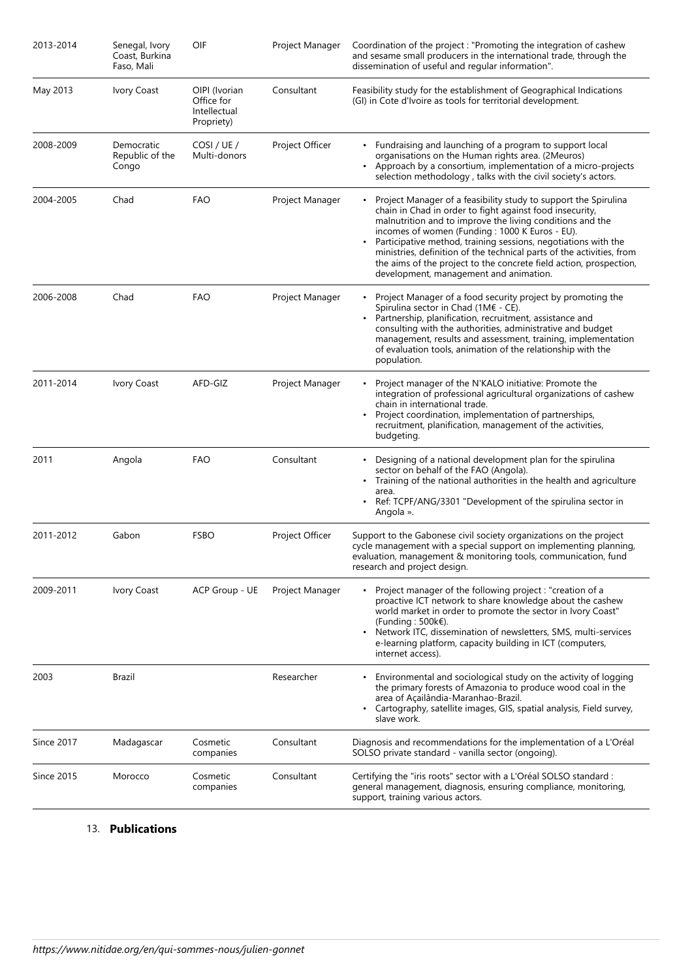| 2013-2014         | Senegal, Ivory<br>Coast, Burkina<br>Faso, Mali | OIF                                                       | Project Manager | Coordination of the project : "Promoting the integration of cashew<br>and sesame small producers in the international trade, through the<br>dissemination of useful and regular information".                                                                                                                                                                                                                                                                                                         |
|-------------------|------------------------------------------------|-----------------------------------------------------------|-----------------|-------------------------------------------------------------------------------------------------------------------------------------------------------------------------------------------------------------------------------------------------------------------------------------------------------------------------------------------------------------------------------------------------------------------------------------------------------------------------------------------------------|
| May 2013          | Ivory Coast                                    | OIPI (Ivorian<br>Office for<br>Intellectual<br>Propriety) | Consultant      | Feasibility study for the establishment of Geographical Indications<br>(GI) in Cote d'Ivoire as tools for territorial development.                                                                                                                                                                                                                                                                                                                                                                    |
| 2008-2009         | Democratic<br>Republic of the<br>Congo         | COSI / UE /<br>Multi-donors                               | Project Officer | • Fundraising and launching of a program to support local<br>organisations on the Human rights area. (2Meuros)<br>• Approach by a consortium, implementation of a micro-projects<br>selection methodology, talks with the civil society's actors.                                                                                                                                                                                                                                                     |
| 2004-2005         | Chad                                           | <b>FAO</b>                                                | Project Manager | Project Manager of a feasibility study to support the Spirulina<br>chain in Chad in order to fight against food insecurity,<br>malnutrition and to improve the living conditions and the<br>incomes of women (Funding: 1000 K Euros - EU).<br>Participative method, training sessions, negotiations with the<br>ministries, definition of the technical parts of the activities, from<br>the aims of the project to the concrete field action, prospection,<br>development, management and animation. |
| 2006-2008         | Chad                                           | FAO                                                       | Project Manager | Project Manager of a food security project by promoting the<br>Spirulina sector in Chad (1M€ - CE).<br>Partnership, planification, recruitment, assistance and<br>$\bullet$<br>consulting with the authorities, administrative and budget<br>management, results and assessment, training, implementation<br>of evaluation tools, animation of the relationship with the<br>population.                                                                                                               |
| 2011-2014         | Ivory Coast                                    | AFD-GIZ                                                   | Project Manager | Project manager of the N'KALO initiative: Promote the<br>integration of professional agricultural organizations of cashew<br>chain in international trade.<br>Project coordination, implementation of partnerships,<br>recruitment, planification, management of the activities,<br>budgeting.                                                                                                                                                                                                        |
| 2011              | Angola                                         | <b>FAO</b>                                                | Consultant      | • Designing of a national development plan for the spirulina<br>sector on behalf of the FAO (Angola).<br>Training of the national authorities in the health and agriculture<br>$\bullet$<br>area.<br>Ref: TCPF/ANG/3301 "Development of the spirulina sector in<br>Angola ».                                                                                                                                                                                                                          |
| 2011-2012         | Gabon                                          | <b>FSBO</b>                                               | Project Officer | Support to the Gabonese civil society organizations on the project<br>cycle management with a special support on implementing planning,<br>evaluation, management & monitoring tools, communication, fund<br>research and project design.                                                                                                                                                                                                                                                             |
| 2009-2011         | Ivory Coast                                    | ACP Group - UE                                            | Project Manager | Project manager of the following project : "creation of a<br>proactive ICT network to share knowledge about the cashew<br>world market in order to promote the sector in Ivory Coast"<br>(Funding: $500k \epsilon$ ).<br>Network ITC, dissemination of newsletters, SMS, multi-services<br>e-learning platform, capacity building in ICT (computers,<br>internet access).                                                                                                                             |
| 2003              | Brazil                                         |                                                           | Researcher      | Environmental and sociological study on the activity of logging<br>the primary forests of Amazonia to produce wood coal in the<br>area of Açailândia-Maranhao-Brazil.<br>Cartography, satellite images, GIS, spatial analysis, Field survey,<br>slave work.                                                                                                                                                                                                                                           |
| <b>Since 2017</b> | Madagascar                                     | Cosmetic<br>companies                                     | Consultant      | Diagnosis and recommendations for the implementation of a L'Oréal<br>SOLSO private standard - vanilla sector (ongoing).                                                                                                                                                                                                                                                                                                                                                                               |
| <b>Since 2015</b> | Morocco                                        | Cosmetic<br>companies                                     | Consultant      | Certifying the "iris roots" sector with a L'Oréal SOLSO standard :<br>general management, diagnosis, ensuring compliance, monitoring,<br>support, training various actors.                                                                                                                                                                                                                                                                                                                            |

## 13. **Publications**